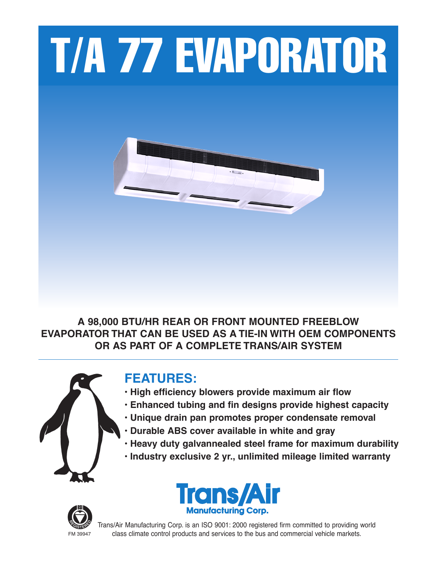

**A 98,000 BTU/HR REAR OR FRONT MOUNTED FREEBLOW EVAPORATOR THAT CAN BE USED AS A TIE-IN WITH OEM COMPONENTS OR AS PART OF A COMPLETE TRANS/AIR SYSTEM**



# **FEATURES:**

- **• High efficiency blowers provide maximum air flow**
- **• Enhanced tubing and fin designs provide highest capacity**
- **• Unique drain pan promotes proper condensate removal**
- **• Durable ABS cover available in white and gray**
- **• Heavy duty galvannealed steel frame for maximum durability**
- **• Industry exclusive 2 yr., unlimited mileage limited warranty**





Trans/Air Manufacturing Corp. is an ISO 9001: 2000 registered firm committed to providing world FM 39947 class climate control products and services to the bus and commercial vehicle markets.